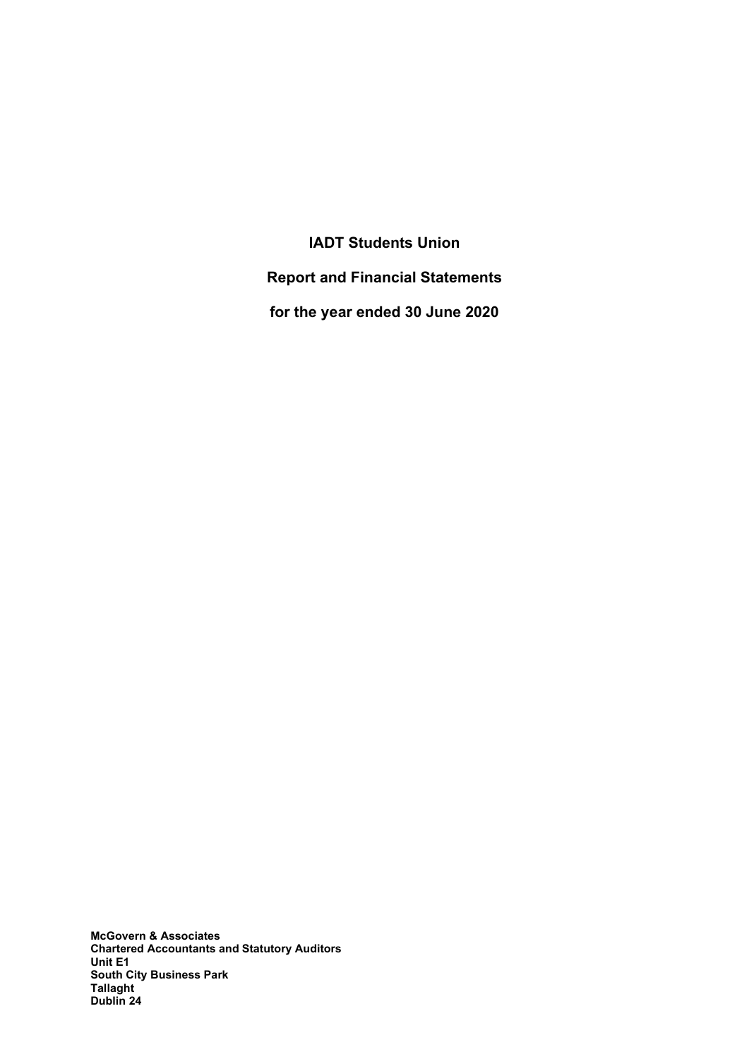IADT Students Union Report and Financial Statements for the year ended 30 June 2020

McGovern & Associates Chartered Accountants and Statutory Auditors Unit E1 South City Business Park Tallaght Dublin 24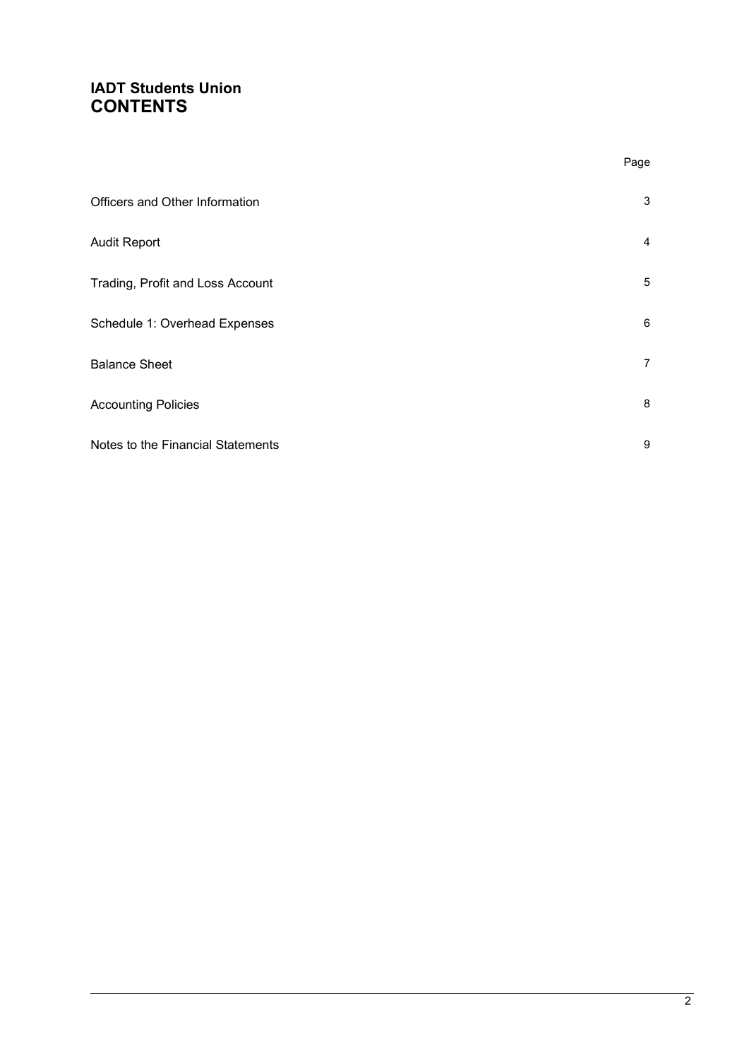### IADT Students Union **CONTENTS**

|                                   | Page           |
|-----------------------------------|----------------|
| Officers and Other Information    | 3              |
| <b>Audit Report</b>               | $\overline{4}$ |
| Trading, Profit and Loss Account  | 5              |
| Schedule 1: Overhead Expenses     | 6              |
| <b>Balance Sheet</b>              | $\overline{7}$ |
| <b>Accounting Policies</b>        | 8              |
| Notes to the Financial Statements | 9              |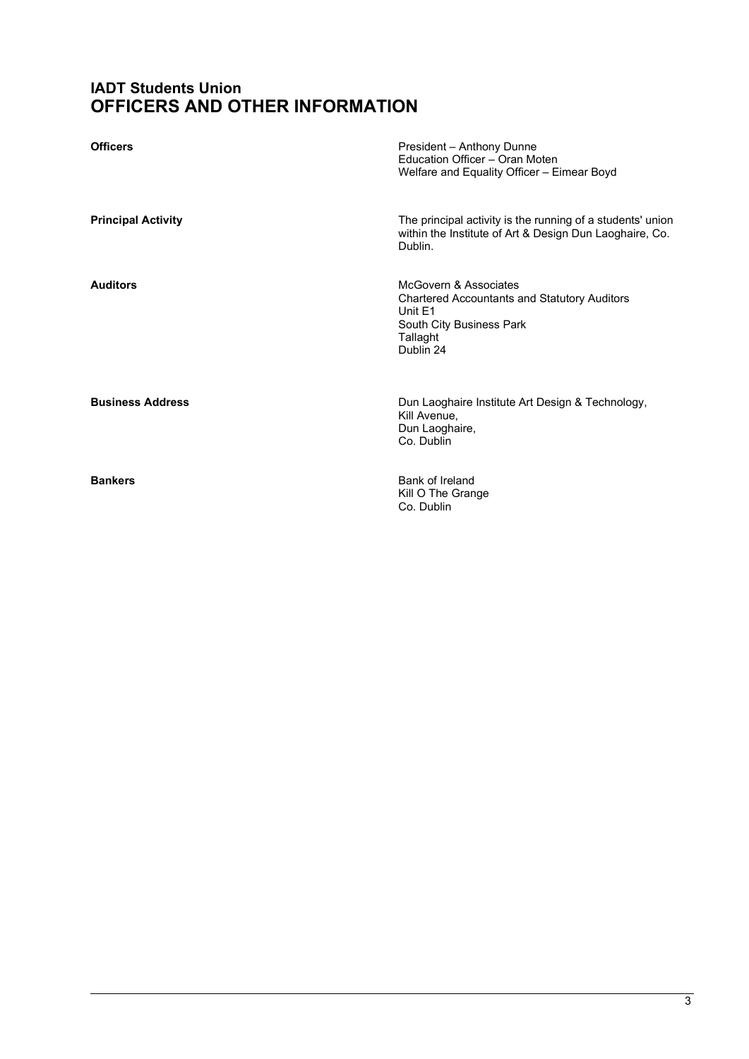### IADT Students Union OFFICERS AND OTHER INFORMATION

| <b>Officers</b>           | President - Anthony Dunne<br>Education Officer - Oran Moten<br>Welfare and Equality Officer - Eimear Boyd                                    |
|---------------------------|----------------------------------------------------------------------------------------------------------------------------------------------|
| <b>Principal Activity</b> | The principal activity is the running of a students' union<br>within the Institute of Art & Design Dun Laoghaire, Co.<br>Dublin.             |
| <b>Auditors</b>           | McGovern & Associates<br><b>Chartered Accountants and Statutory Auditors</b><br>Unit E1<br>South City Business Park<br>Tallaght<br>Dublin 24 |
| <b>Business Address</b>   | Dun Laoghaire Institute Art Design & Technology,<br>Kill Avenue,<br>Dun Laoghaire,<br>Co. Dublin                                             |
| <b>Bankers</b>            | Bank of Ireland<br>Kill O The Grange<br>Co. Dublin                                                                                           |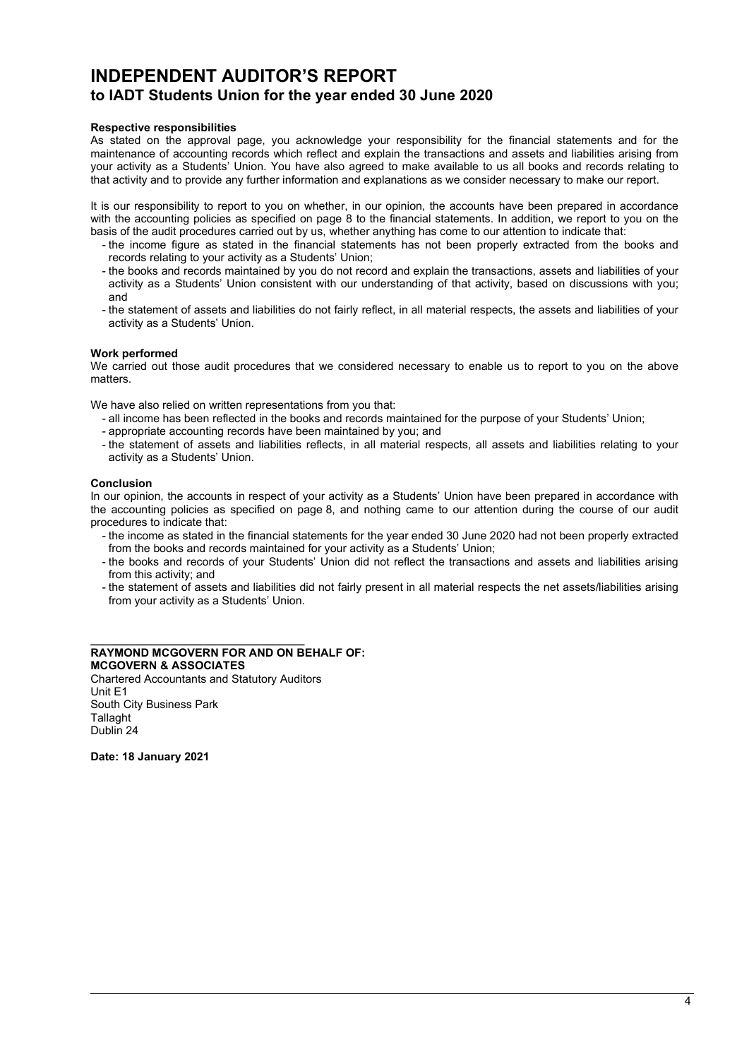### INDEPENDENT AUDITOR'S REPORT to IADT Students Union for the year ended 30 June 2020

#### Respective responsibilities

As stated on the approval page, you acknowledge your responsibility for the financial statements and for the maintenance of accounting records which reflect and explain the transactions and assets and liabilities arising from your activity as a Students' Union. You have also agreed to make available to us all books and records relating to that activity and to provide any further information and explanations as we consider necessary to make our report.

It is our responsibility to report to you on whether, in our opinion, the accounts have been prepared in accordance with the accounting policies as specified on page 8 to the financial statements. In addition, we report to you on the basis of the audit procedures carried out by us, whether anything has come to our attention to indicate that:

- the income figure as stated in the financial statements has not been properly extracted from the books and records relating to your activity as a Students' Union;
- the books and records maintained by you do not record and explain the transactions, assets and liabilities of your activity as a Students' Union consistent with our understanding of that activity, based on discussions with you; and
- the statement of assets and liabilities do not fairly reflect, in all material respects, the assets and liabilities of your activity as a Students' Union.

#### Work performed

We carried out those audit procedures that we considered necessary to enable us to report to you on the above matters.

We have also relied on written representations from you that:

- all income has been reflected in the books and records maintained for the purpose of your Students' Union;
- appropriate accounting records have been maintained by you; and
- the statement of assets and liabilities reflects, in all material respects, all assets and liabilities relating to your activity as a Students' Union.

#### Conclusion

In our opinion, the accounts in respect of your activity as a Students' Union have been prepared in accordance with the accounting policies as specified on page 8, and nothing came to our attention during the course of our audit procedures to indicate that:

- the income as stated in the financial statements for the year ended 30 June 2020 had not been properly extracted from the books and records maintained for your activity as a Students' Union;
- the books and records of your Students' Union did not reflect the transactions and assets and liabilities arising from this activity; and
- the statement of assets and liabilities did not fairly present in all material respects the net assets/liabilities arising from your activity as a Students' Union.

#### \_\_\_\_\_\_\_\_\_\_\_\_\_\_\_\_\_\_\_\_\_\_\_\_\_\_\_\_\_\_\_\_\_\_ RAYMOND MCGOVERN FOR AND ON BEHALF OF: MCGOVERN & ASSOCIATES

Chartered Accountants and Statutory Auditors Unit E1 South City Business Park **Tallaght** Dublin 24

Date: 18 January 2021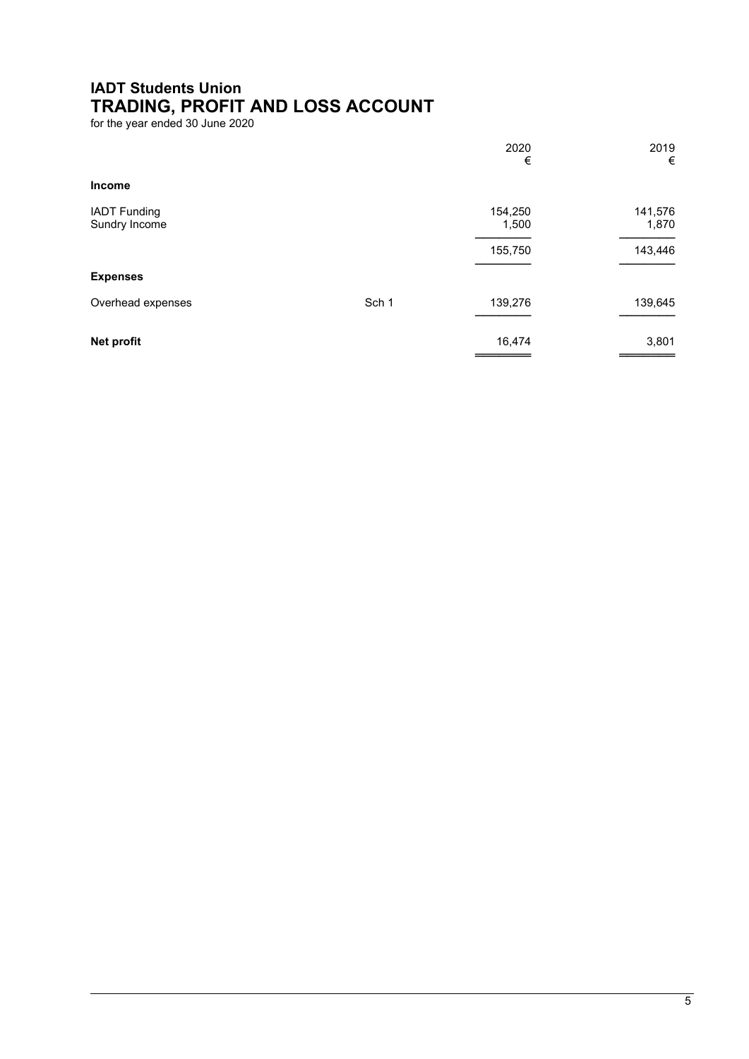## IADT Students Union TRADING, PROFIT AND LOSS ACCOUNT

for the year ended 30 June 2020

|                                      |       | 2020<br>€        | 2019<br>€        |
|--------------------------------------|-------|------------------|------------------|
| Income                               |       |                  |                  |
| <b>IADT Funding</b><br>Sundry Income |       | 154,250<br>1,500 | 141,576<br>1,870 |
|                                      |       | 155,750          | 143,446          |
| <b>Expenses</b>                      |       |                  |                  |
| Overhead expenses                    | Sch 1 | 139,276          | 139,645          |
| Net profit                           |       | 16,474           | 3,801            |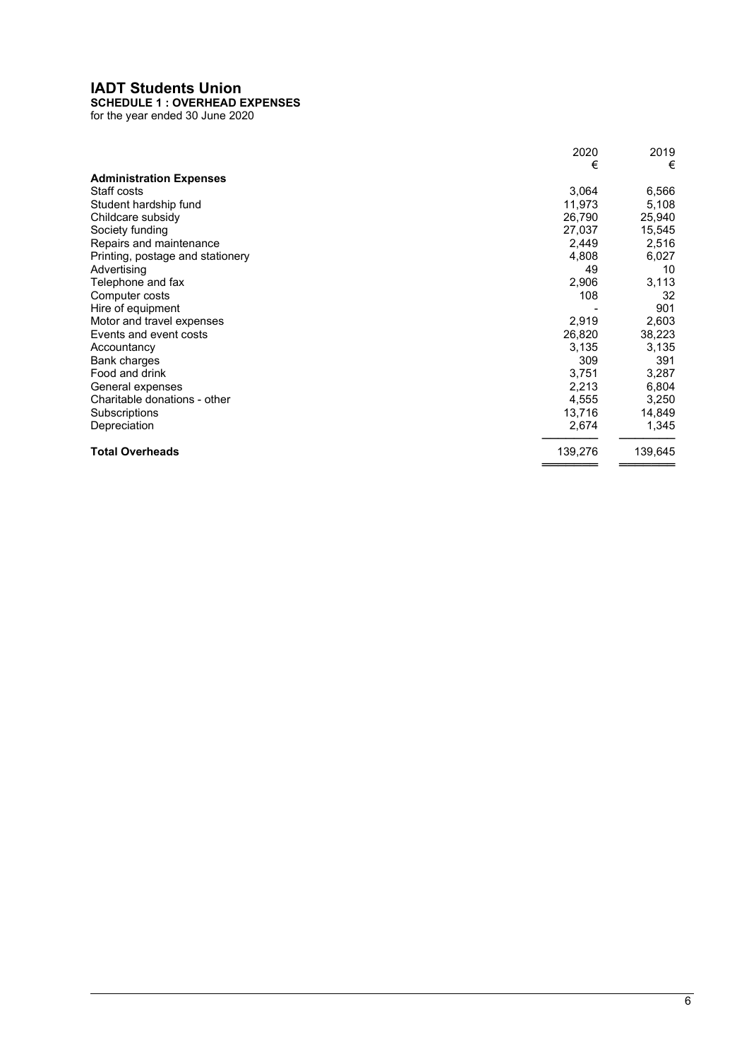### IADT Students Union

### SCHEDULE 1 : OVERHEAD EXPENSES

for the year ended 30 June 2020

|                                  | 2020    | 2019    |
|----------------------------------|---------|---------|
|                                  | €       | €       |
| <b>Administration Expenses</b>   |         |         |
| Staff costs                      | 3,064   | 6,566   |
| Student hardship fund            | 11,973  | 5,108   |
| Childcare subsidy                | 26,790  | 25,940  |
| Society funding                  | 27,037  | 15,545  |
| Repairs and maintenance          | 2,449   | 2,516   |
| Printing, postage and stationery | 4,808   | 6,027   |
| Advertising                      | 49      | 10      |
| Telephone and fax                | 2,906   | 3,113   |
| Computer costs                   | 108     | 32      |
| Hire of equipment                |         | 901     |
| Motor and travel expenses        | 2,919   | 2,603   |
| Events and event costs           | 26,820  | 38,223  |
| Accountancy                      | 3,135   | 3,135   |
| Bank charges                     | 309     | 391     |
| Food and drink                   | 3,751   | 3,287   |
| General expenses                 | 2,213   | 6,804   |
| Charitable donations - other     | 4,555   | 3,250   |
| Subscriptions                    | 13,716  | 14,849  |
| Depreciation                     | 2,674   | 1,345   |
| <b>Total Overheads</b>           | 139,276 | 139,645 |
|                                  |         |         |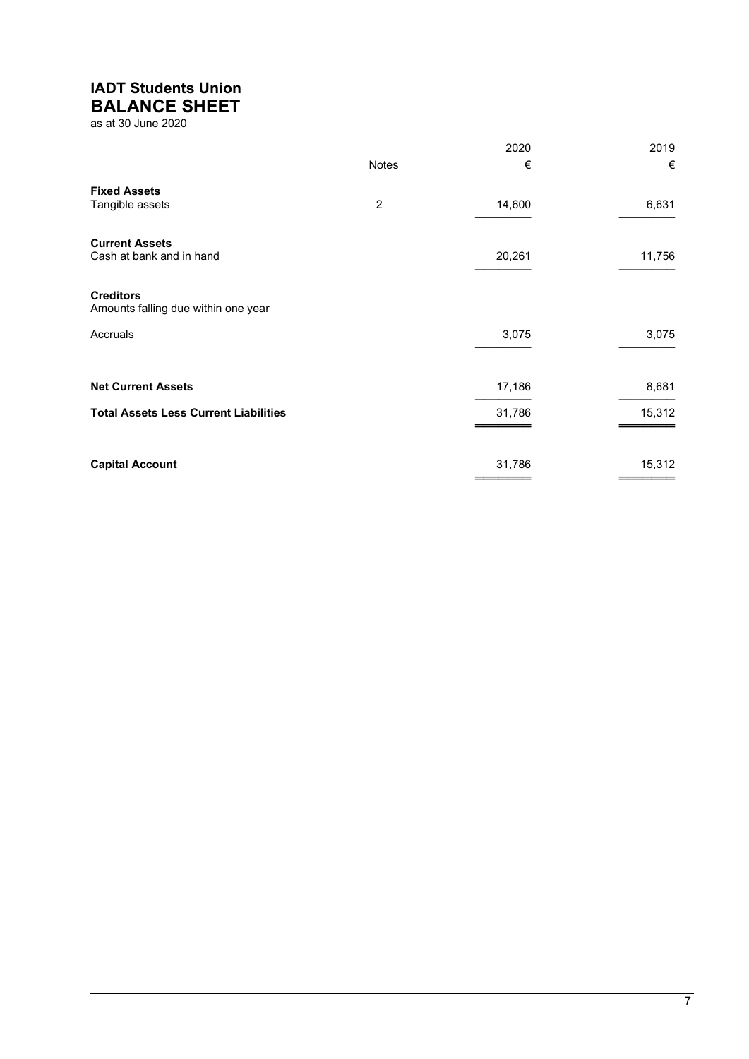# IADT Students Union

BALANCE SHEET

as at 30 June 2020

|                                                         |              | 2020   | 2019   |
|---------------------------------------------------------|--------------|--------|--------|
|                                                         | <b>Notes</b> | €      | €      |
| <b>Fixed Assets</b><br>Tangible assets                  | 2            | 14,600 | 6,631  |
| <b>Current Assets</b><br>Cash at bank and in hand       |              | 20,261 | 11,756 |
| <b>Creditors</b><br>Amounts falling due within one year |              |        |        |
| Accruals                                                |              | 3,075  | 3,075  |
| <b>Net Current Assets</b>                               |              | 17,186 | 8,681  |
| <b>Total Assets Less Current Liabilities</b>            |              | 31,786 | 15,312 |
| <b>Capital Account</b>                                  |              | 31,786 | 15,312 |
|                                                         |              |        |        |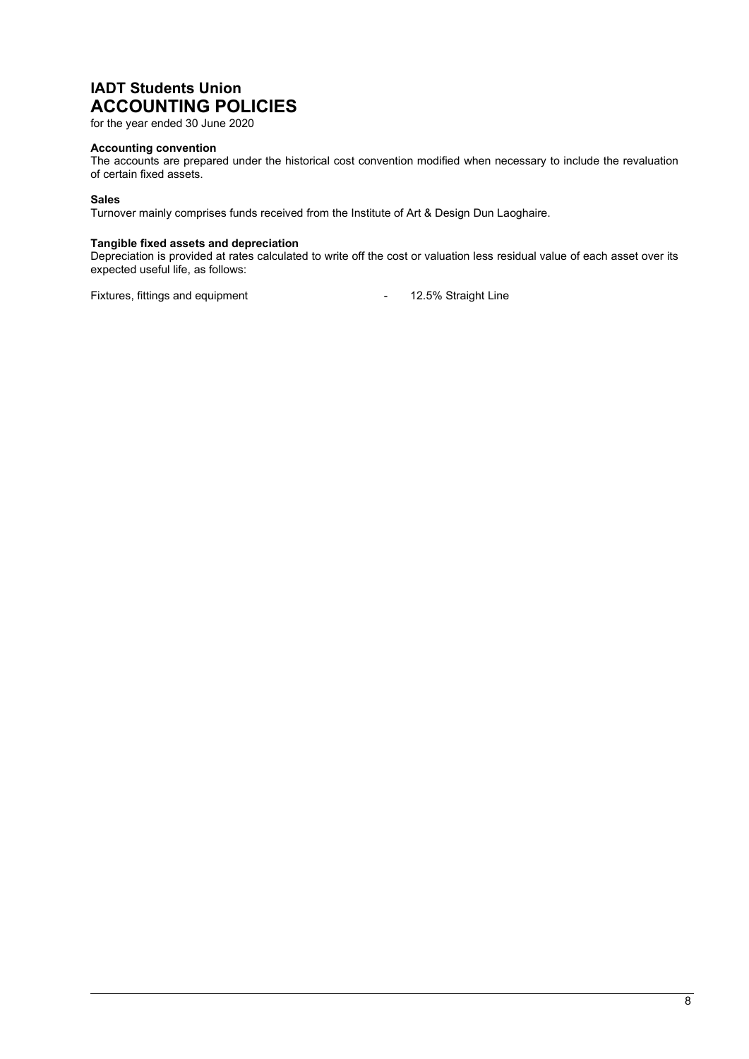### IADT Students Union ACCOUNTING POLICIES

for the year ended 30 June 2020

#### Accounting convention

The accounts are prepared under the historical cost convention modified when necessary to include the revaluation of certain fixed assets.

#### Sales

Turnover mainly comprises funds received from the Institute of Art & Design Dun Laoghaire.

#### Tangible fixed assets and depreciation

Depreciation is provided at rates calculated to write off the cost or valuation less residual value of each asset over its expected useful life, as follows:

Fixtures, fittings and equipment The Contract Contract Australian Muslim and Equipment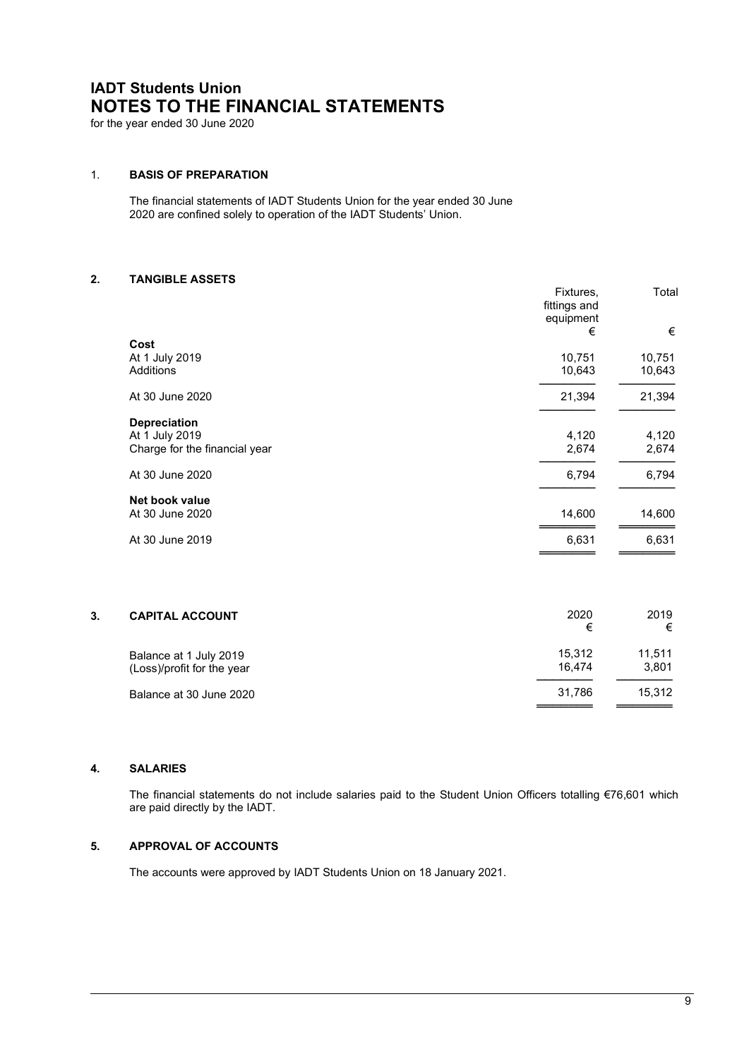## IADT Students Union NOTES TO THE FINANCIAL STATEMENTS

for the year ended 30 June 2020

### 1. BASIS OF PREPARATION

The financial statements of IADT Students Union for the year ended 30 June 2020 are confined solely to operation of the IADT Students' Union.

#### 2. TANGIBLE ASSETS

|                               | Fixtures,<br>fittings and<br>equipment | Total  |
|-------------------------------|----------------------------------------|--------|
|                               | €                                      | €      |
| Cost                          |                                        |        |
| At 1 July 2019                | 10,751                                 | 10,751 |
| Additions                     | 10,643                                 | 10,643 |
| At 30 June 2020               | 21,394                                 | 21,394 |
| <b>Depreciation</b>           |                                        |        |
| At 1 July 2019                | 4,120                                  | 4,120  |
| Charge for the financial year | 2,674                                  | 2,674  |
| At 30 June 2020               | 6,794                                  | 6,794  |
| Net book value                |                                        |        |
| At 30 June 2020               | 14,600                                 | 14,600 |
| At 30 June 2019               | 6,631                                  | 6,631  |

| 3.                         | 2020   | 2019   |
|----------------------------|--------|--------|
| <b>CAPITAL ACCOUNT</b>     | €      | €      |
| Balance at 1 July 2019     | 15,312 | 11,511 |
| (Loss)/profit for the year | 16.474 | 3.801  |
| Balance at 30 June 2020    | 31.786 | 15.312 |

#### $\overline{\mathbf{4}}$ . **SALARIES**

 The financial statements do not include salaries paid to the Student Union Officers totalling €76,601 which are paid directly by the IADT.

#### $5.$ APPROVAL OF ACCOUNTS

The accounts were approved by IADT Students Union on 18 January 2021.